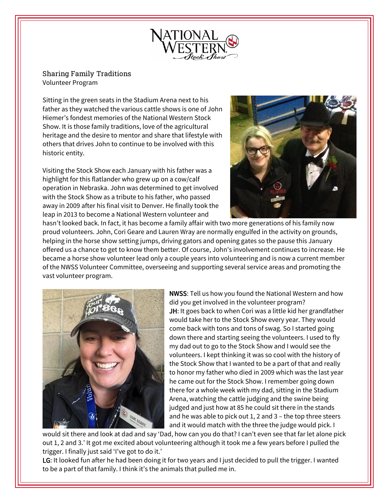

## Sharing Family Traditions Volunteer Program

Sitting in the green seats in the Stadium Arena next to his father as they watched the various cattle shows is one of John Hiemer's fondest memories of the National Western Stock Show. It is those family traditions, love of the agricultural heritage and the desire to mentor and share that lifestyle with others that drives John to continue to be involved with this historic entity.

Visiting the Stock Show each January with his father was a highlight for this flatlander who grew up on a cow/calf operation in Nebraska. John was determined to get involved with the Stock Show as a tribute to his father, who passed away in 2009 after his final visit to Denver. He finally took the leap in 2013 to become a National Western volunteer and



hasn't looked back. In fact, it has become a family affair with two more generations of his family now proud volunteers. John, Cori Geare and Lauren Wray are normally engulfed in the activity on grounds, helping in the horse show setting jumps, driving gators and opening gates so the pause this January offered us a chance to get to know them better. Of course, John's involvement continues to increase. He became a horse show volunteer lead only a couple years into volunteering and is now a current member of the NWSS Volunteer Committee, overseeing and supporting several service areas and promoting the vast volunteer program.



NWSS: Tell us how you found the National Western and how did you get involved in the volunteer program? JH: It goes back to when Cori was a little kid her grandfather would take her to the Stock Show every year. They would come back with tons and tons of swag. So I started going down there and starting seeing the volunteers. I used to fly my dad out to go to the Stock Show and I would see the volunteers. I kept thinking it was so cool with the history of the Stock Show that I wanted to be a part of that and really to honor my father who died in 2009 which was the last year he came out for the Stock Show. I remember going down there for a whole week with my dad, sitting in the Stadium Arena, watching the cattle judging and the swine being judged and just how at 85 he could sit there in the stands and he was able to pick out 1, 2 and 3 – the top three steers and it would match with the three the judge would pick. I

would sit there and look at dad and say 'Dad, how can you do that? I can't even see that far let alone pick out 1, 2 and 3.' It got me excited about volunteering although it took me a few years before I pulled the trigger. I finally just said 'I've got to do it.'

LG: It looked fun after he had been doing it for two years and I just decided to pull the trigger. I wanted to be a part of that family. I think it's the animals that pulled me in.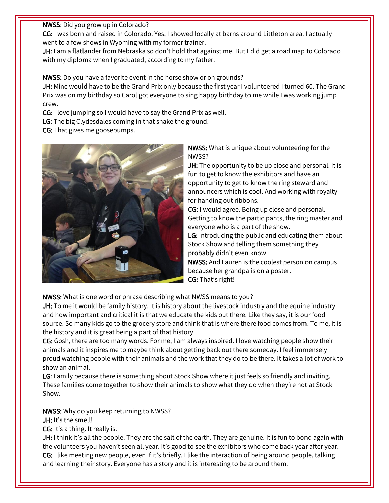NWSS: Did you grow up in Colorado?

CG: I was born and raised in Colorado. Yes, I showed locally at barns around Littleton area. I actually went to a few shows in Wyoming with my former trainer.

JH: I am a flatlander from Nebraska so don't hold that against me. But I did get a road map to Colorado with my diploma when I graduated, according to my father.

NWSS: Do you have a favorite event in the horse show or on grounds?

JH: Mine would have to be the Grand Prix only because the first year I volunteered I turned 60. The Grand Prix was on my birthday so Carol got everyone to sing happy birthday to me while I was working jump crew.

CG: I love jumping so I would have to say the Grand Prix as well.

LG: The big Clydesdales coming in that shake the ground.

CG: That gives me goosebumps.



NWSS: What is unique about volunteering for the NWSS?

JH: The opportunity to be up close and personal. It is fun to get to know the exhibitors and have an opportunity to get to know the ring steward and announcers which is cool. And working with royalty for handing out ribbons.

CG: I would agree. Being up close and personal. Getting to know the participants, the ring master and everyone who is a part of the show.

LG: Introducing the public and educating them about Stock Show and telling them something they probably didn't even know.

NWSS: And Lauren is the coolest person on campus because her grandpa is on a poster. CG: That's right!

NWSS: What is one word or phrase describing what NWSS means to you?

JH: To me it would be family history. It is history about the livestock industry and the equine industry and how important and critical it is that we educate the kids out there. Like they say, it is our food source. So many kids go to the grocery store and think that is where there food comes from. To me, it is the history and it is great being a part of that history.

CG: Gosh, there are too many words. For me, I am always inspired. I love watching people show their animals and it inspires me to maybe think about getting back out there someday. I feel immensely proud watching people with their animals and the work that they do to be there. It takes a lot of work to show an animal.

LG: Family because there is something about Stock Show where it just feels so friendly and inviting. These families come together to show their animals to show what they do when they're not at Stock Show.

NWSS: Why do you keep returning to NWSS?

JH: It's the smell!

CG: It's a thing. It really is.

JH: I think it's all the people. They are the salt of the earth. They are genuine. It is fun to bond again with the volunteers you haven't seen all year. It's good to see the exhibitors who come back year after year. CG: I like meeting new people, even if it's briefly. I like the interaction of being around people, talking and learning their story. Everyone has a story and it is interesting to be around them.